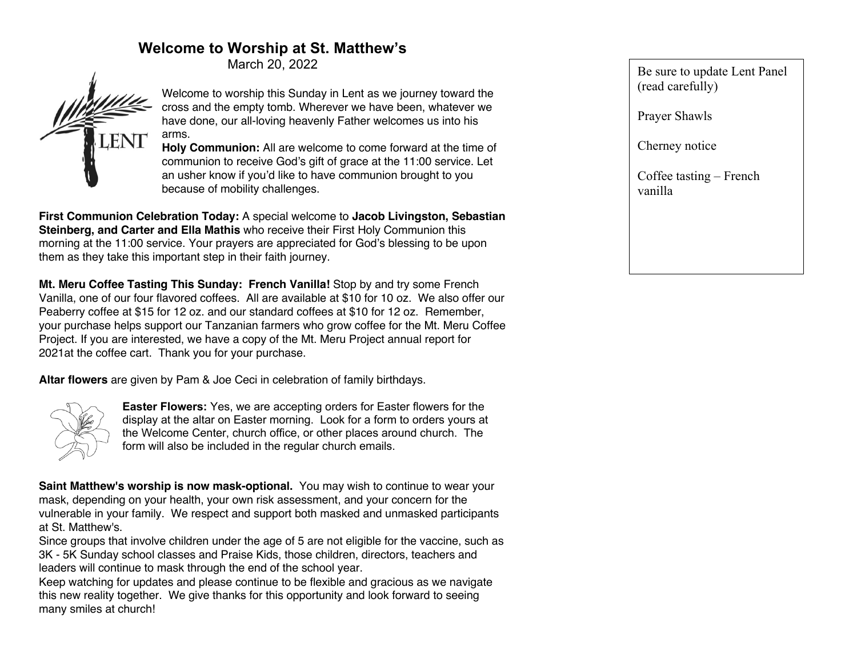# **Welcome to Worship at St. Matthew's**

March 20, 2022



Welcome to worship this Sunday in Lent as we journey toward the cross and the empty tomb. Wherever we have been, whatever we have done, our all-loving heavenly Father welcomes us into his arms.

**Holy Communion:** All are welcome to come forward at the time of communion to receive God's gift of grace at the 11:00 service. Let an usher know if you'd like to have communion brought to you because of mobility challenges.

**First Communion Celebration Today:** A special welcome to **Jacob Livingston, Sebastian Steinberg, and Carter and Ella Mathis** who receive their First Holy Communion this morning at the 11:00 service. Your prayers are appreciated for God's blessing to be upon them as they take this important step in their faith journey.

**Mt. Meru Coffee Tasting This Sunday: French Vanilla!** Stop by and try some French Vanilla, one of our four flavored coffees. All are available at \$10 for 10 oz. We also offer our Peaberry coffee at \$15 for 12 oz. and our standard coffees at \$10 for 12 oz. Remember, your purchase helps support our Tanzanian farmers who grow coffee for the Mt. Meru Coffee Project. If you are interested, we have a copy of the Mt. Meru Project annual report for 2021at the coffee cart. Thank you for your purchase.

**Altar flowers** are given by Pam & Joe Ceci in celebration of family birthdays.



**Easter Flowers:** Yes, we are accepting orders for Easter flowers for the display at the altar on Easter morning. Look for a form to orders yours at the Welcome Center, church office, or other places around church. The form will also be included in the regular church emails.

**Saint Matthew's worship is now mask-optional.** You may wish to continue to wear your mask, depending on your health, your own risk assessment, and your concern for the vulnerable in your family. We respect and support both masked and unmasked participants at St. Matthew's.

Since groups that involve children under the age of 5 are not eligible for the vaccine, such as 3K - 5K Sunday school classes and Praise Kids, those children, directors, teachers and leaders will continue to mask through the end of the school year.

Keep watching for updates and please continue to be flexible and gracious as we navigate this new reality together. We give thanks for this opportunity and look forward to seeing many smiles at church!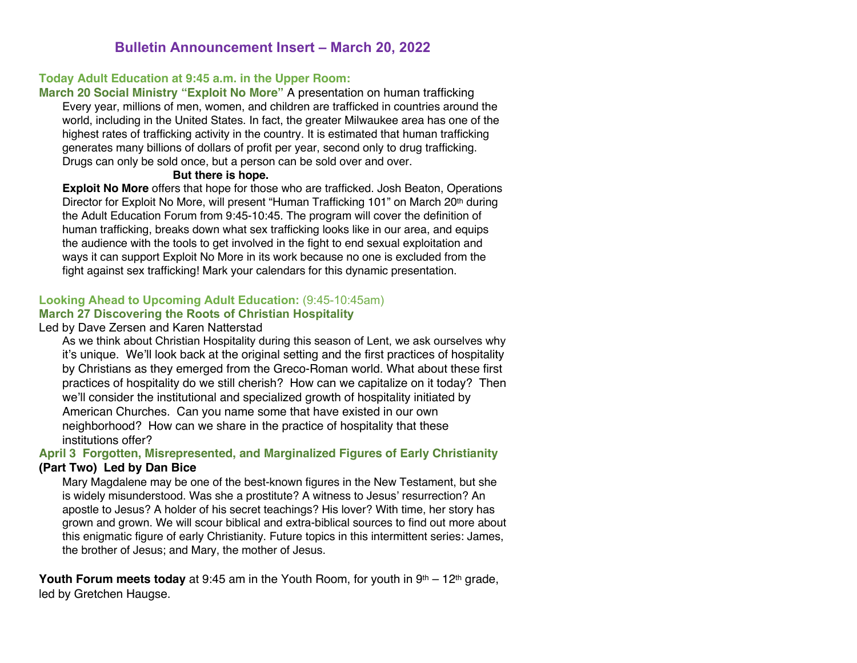# **Bulletin Announcement Insert – March 20, 2022**

## **Today Adult Education at 9:45 a.m. in the Upper Room:**

**March 20 Social Ministry "Exploit No More"** A presentation on human trafficking Every year, millions of men, women, and children are trafficked in countries around the world, including in the United States. In fact, the greater Milwaukee area has one of the highest rates of trafficking activity in the country. It is estimated that human trafficking generates many billions of dollars of profit per year, second only to drug trafficking. Drugs can only be sold once, but a person can be sold over and over.

#### **But there is hope.**

**Exploit No More** offers that hope for those who are trafficked. Josh Beaton, Operations Director for Exploit No More, will present "Human Trafficking 101" on March 20th during the Adult Education Forum from 9:45-10:45. The program will cover the definition of human trafficking, breaks down what sex trafficking looks like in our area, and equips the audience with the tools to get involved in the fight to end sexual exploitation and ways it can support Exploit No More in its work because no one is excluded from the fight against sex trafficking! Mark your calendars for this dynamic presentation.

### **Looking Ahead to Upcoming Adult Education:** (9:45-10:45am) **March 27 Discovering the Roots of Christian Hospitality**

### Led by Dave Zersen and Karen Natterstad

As we think about Christian Hospitality during this season of Lent, we ask ourselves why it's unique. We'll look back at the original setting and the first practices of hospitality by Christians as they emerged from the Greco-Roman world. What about these first practices of hospitality do we still cherish? How can we capitalize on it today? Then we'll consider the institutional and specialized growth of hospitality initiated by American Churches. Can you name some that have existed in our own neighborhood? How can we share in the practice of hospitality that these institutions offer?

### **April 3 Forgotten, Misrepresented, and Marginalized Figures of Early Christianity (Part Two) Led by Dan Bice**

Mary Magdalene may be one of the best-known figures in the New Testament, but she is widely misunderstood. Was she a prostitute? A witness to Jesus' resurrection? An apostle to Jesus? A holder of his secret teachings? His lover? With time, her story has grown and grown. We will scour biblical and extra-biblical sources to find out more about this enigmatic figure of early Christianity. Future topics in this intermittent series: James, the brother of Jesus; and Mary, the mother of Jesus.

**Youth Forum meets today** at 9:45 am in the Youth Room, for youth in  $9<sup>th</sup> - 12<sup>th</sup>$  grade, led by Gretchen Haugse.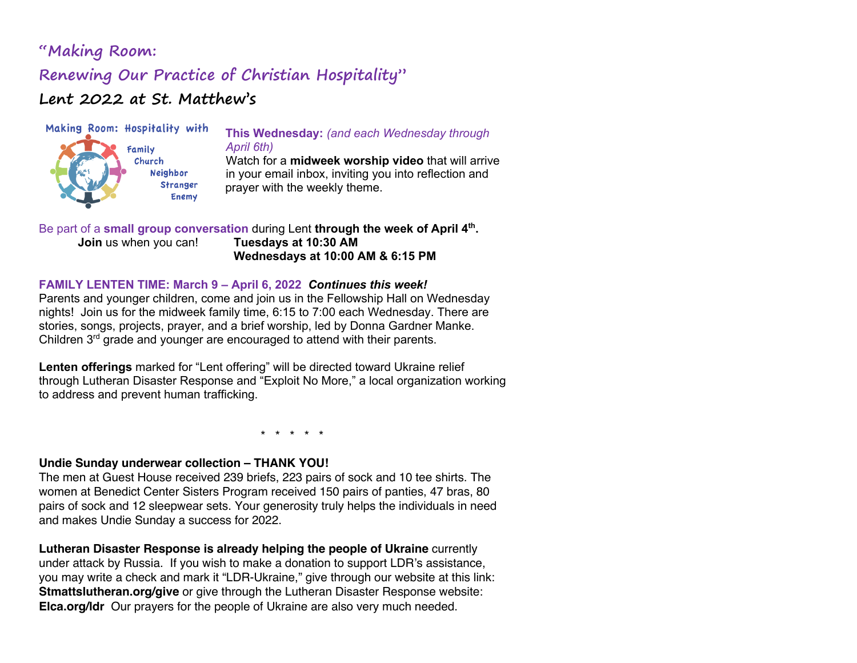# **"Making Room: Renewing Our Practice of Christian Hospitality" Lent 2022 at St. Matthew's**



Church **Neighbor Stranger Enemy** 

### **This Wednesday:** *(and each Wednesday through April 6th)*

Watch for a **midweek worship video** that will arrive in your email inbox, inviting you into reflection and prayer with the weekly theme.

### Be part of a small group conversation during Lent through the week of April 4<sup>th</sup>. **Join** us when you can! **Tuesdays at 10:30 AM Wednesdays at 10:00 AM & 6:15 PM**

## **FAMILY LENTEN TIME: March 9 – April 6, 2022** *Continues this week!*

Parents and younger children, come and join us in the Fellowship Hall on Wednesday nights! Join us for the midweek family time, 6:15 to 7:00 each Wednesday. There are stories, songs, projects, prayer, and a brief worship, led by Donna Gardner Manke. Children 3<sup>rd</sup> grade and younger are encouraged to attend with their parents.

**Lenten offerings** marked for "Lent offering" will be directed toward Ukraine relief through Lutheran Disaster Response and "Exploit No More," a local organization working to address and prevent human trafficking.

\* \* \* \* \*

### **Undie Sunday underwear collection – THANK YOU!**

The men at Guest House received 239 briefs, 223 pairs of sock and 10 tee shirts. The women at Benedict Center Sisters Program received 150 pairs of panties, 47 bras, 80 pairs of sock and 12 sleepwear sets. Your generosity truly helps the individuals in need and makes Undie Sunday a success for 2022.

**Lutheran Disaster Response is already helping the people of Ukraine** currently under attack by Russia. If you wish to make a donation to support LDR's assistance, you may write a check and mark it "LDR-Ukraine," give through our website at this link: **Stmattslutheran.org/give** or give through the Lutheran Disaster Response website: **Elca.org/ldr** Our prayers for the people of Ukraine are also very much needed.